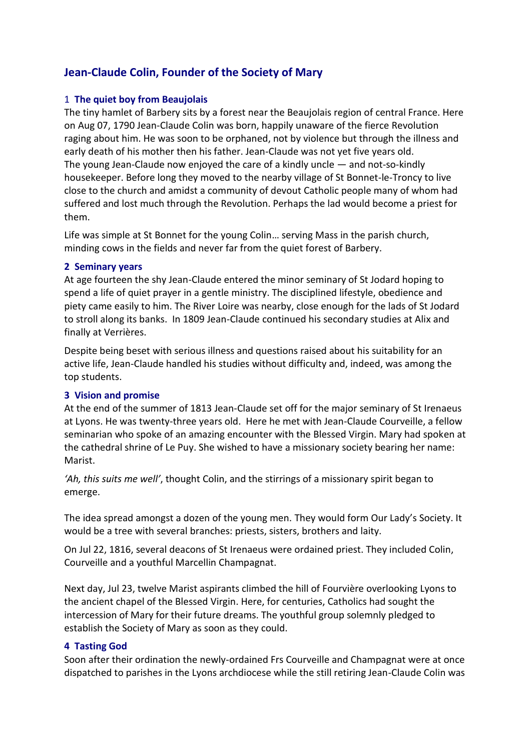# **Jean-Claude Colin, Founder of the Society of Mary**

### 1 **The quiet boy from Beaujolais**

The tiny hamlet of Barbery sits by a forest near the Beaujolais region of central France. Here on Aug 07, 1790 Jean-Claude Colin was born, happily unaware of the fierce Revolution raging about him. He was soon to be orphaned, not by violence but through the illness and early death of his mother then his father. Jean-Claude was not yet five years old. The young Jean-Claude now enjoyed the care of a kindly uncle  $-$  and not-so-kindly housekeeper. Before long they moved to the nearby village of St Bonnet-le-Troncy to live close to the church and amidst a community of devout Catholic people many of whom had suffered and lost much through the Revolution. Perhaps the lad would become a priest for them.

Life was simple at St Bonnet for the young Colin… serving Mass in the parish church, minding cows in the fields and never far from the quiet forest of Barbery.

#### **2 Seminary years**

At age fourteen the shy Jean-Claude entered the minor seminary of St Jodard hoping to spend a life of quiet prayer in a gentle ministry. The disciplined lifestyle, obedience and piety came easily to him. The River Loire was nearby, close enough for the lads of St Jodard to stroll along its banks. In 1809 Jean-Claude continued his secondary studies at Alix and finally at Verrières.

Despite being beset with serious illness and questions raised about his suitability for an active life, Jean-Claude handled his studies without difficulty and, indeed, was among the top students.

#### **3 Vision and promise**

At the end of the summer of 1813 Jean-Claude set off for the major seminary of St Irenaeus at Lyons. He was twenty-three years old. Here he met with Jean-Claude Courveille, a fellow seminarian who spoke of an amazing encounter with the Blessed Virgin. Mary had spoken at the cathedral shrine of Le Puy. She wished to have a missionary society bearing her name: Marist.

*'Ah, this suits me well'*, thought Colin, and the stirrings of a missionary spirit began to emerge.

The idea spread amongst a dozen of the young men. They would form Our Lady's Society. It would be a tree with several branches: priests, sisters, brothers and laity.

On Jul 22, 1816, several deacons of St Irenaeus were ordained priest. They included Colin, Courveille and a youthful Marcellin Champagnat.

Next day, Jul 23, twelve Marist aspirants climbed the hill of Fourvière overlooking Lyons to the ancient chapel of the Blessed Virgin. Here, for centuries, Catholics had sought the intercession of Mary for their future dreams. The youthful group solemnly pledged to establish the Society of Mary as soon as they could.

#### **4 Tasting God**

Soon after their ordination the newly-ordained Frs Courveille and Champagnat were at once dispatched to parishes in the Lyons archdiocese while the still retiring Jean-Claude Colin was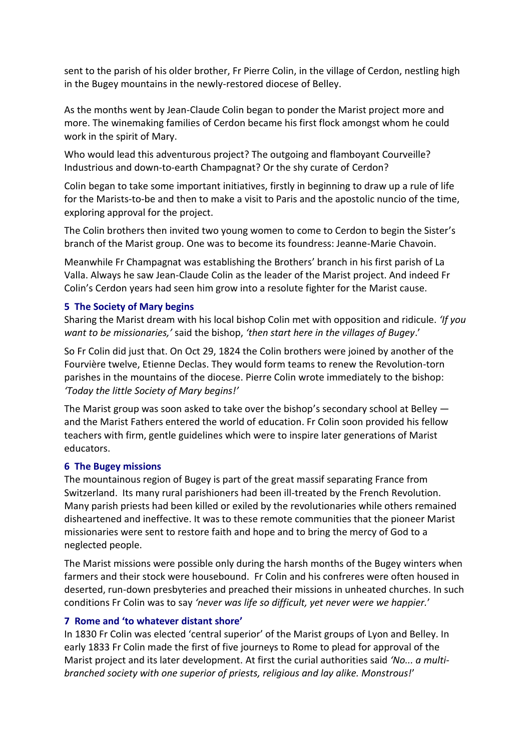sent to the parish of his older brother, Fr Pierre Colin, in the village of Cerdon, nestling high in the Bugey mountains in the newly-restored diocese of Belley.

As the months went by Jean-Claude Colin began to ponder the Marist project more and more. The winemaking families of Cerdon became his first flock amongst whom he could work in the spirit of Mary.

Who would lead this adventurous project? The outgoing and flamboyant Courveille? Industrious and down-to-earth Champagnat? Or the shy curate of Cerdon?

Colin began to take some important initiatives, firstly in beginning to draw up a rule of life for the Marists-to-be and then to make a visit to Paris and the apostolic nuncio of the time, exploring approval for the project.

The Colin brothers then invited two young women to come to Cerdon to begin the Sister's branch of the Marist group. One was to become its foundress: Jeanne-Marie Chavoin.

Meanwhile Fr Champagnat was establishing the Brothers' branch in his first parish of La Valla. Always he saw Jean-Claude Colin as the leader of the Marist project. And indeed Fr Colin's Cerdon years had seen him grow into a resolute fighter for the Marist cause.

#### **5 The Society of Mary begins**

Sharing the Marist dream with his local bishop Colin met with opposition and ridicule. *'If you want to be missionaries,'* said the bishop, *'then start here in the villages of Bugey*.'

So Fr Colin did just that. On Oct 29, 1824 the Colin brothers were joined by another of the Fourvière twelve, Etienne Declas. They would form teams to renew the Revolution-torn parishes in the mountains of the diocese. Pierre Colin wrote immediately to the bishop: *'Today the little Society of Mary begins!'*

The Marist group was soon asked to take over the bishop's secondary school at Belley and the Marist Fathers entered the world of education. Fr Colin soon provided his fellow teachers with firm, gentle guidelines which were to inspire later generations of Marist educators.

#### **6 The Bugey missions**

The mountainous region of Bugey is part of the great massif separating France from Switzerland. Its many rural parishioners had been ill-treated by the French Revolution. Many parish priests had been killed or exiled by the revolutionaries while others remained disheartened and ineffective. It was to these remote communities that the pioneer Marist missionaries were sent to restore faith and hope and to bring the mercy of God to a neglected people.

The Marist missions were possible only during the harsh months of the Bugey winters when farmers and their stock were housebound. Fr Colin and his confreres were often housed in deserted, run-down presbyteries and preached their missions in unheated churches. In such conditions Fr Colin was to say *'never was life so difficult, yet never were we happier.*'

## **7 Rome and 'to whatever distant shore'**

In 1830 Fr Colin was elected 'central superior' of the Marist groups of Lyon and Belley. In early 1833 Fr Colin made the first of five journeys to Rome to plead for approval of the Marist project and its later development. At first the curial authorities said *'No... a multibranched society with one superior of priests, religious and lay alike. Monstrous!*'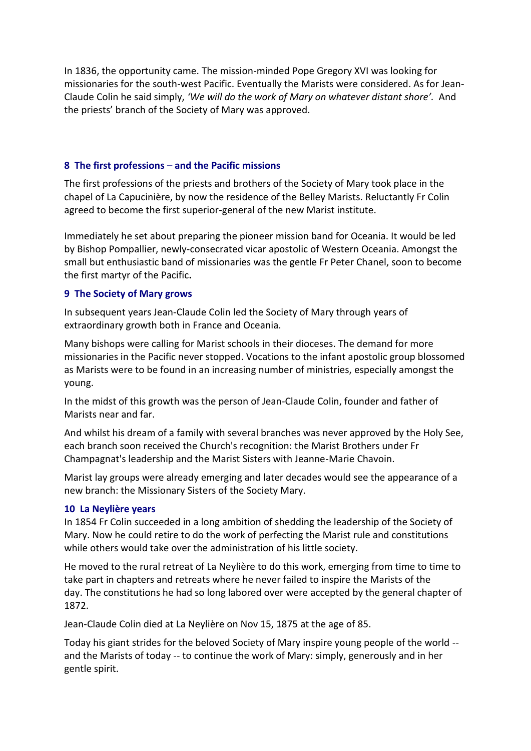In 1836, the opportunity came. The mission-minded Pope Gregory XVI was looking for missionaries for the south-west Pacific. Eventually the Marists were considered. As for Jean-Claude Colin he said simply, *'We will do the work of Mary on whatever distant shore'.* And the priests' branch of the Society of Mary was approved.

#### **8 The first professions** – **and the Pacific missions**

The first professions of the priests and brothers of the Society of Mary took place in the chapel of La Capucinière, by now the residence of the Belley Marists. Reluctantly Fr Colin agreed to become the first superior-general of the new Marist institute.

Immediately he set about preparing the pioneer mission band for Oceania. It would be led by Bishop Pompallier, newly-consecrated vicar apostolic of Western Oceania. Amongst the small but enthusiastic band of missionaries was the gentle Fr Peter Chanel, soon to become the first martyr of the Pacific**.**

#### **9 The Society of Mary grows**

In subsequent years Jean-Claude Colin led the Society of Mary through years of extraordinary growth both in France and Oceania.

Many bishops were calling for Marist schools in their dioceses. The demand for more missionaries in the Pacific never stopped. Vocations to the infant apostolic group blossomed as Marists were to be found in an increasing number of ministries, especially amongst the young.

In the midst of this growth was the person of Jean-Claude Colin, founder and father of Marists near and far.

And whilst his dream of a family with several branches was never approved by the Holy See, each branch soon received the Church's recognition: the Marist Brothers under Fr Champagnat's leadership and the Marist Sisters with Jeanne-Marie Chavoin.

Marist lay groups were already emerging and later decades would see the appearance of a new branch: the Missionary Sisters of the Society Mary.

#### **10 La Neylière years**

In 1854 Fr Colin succeeded in a long ambition of shedding the leadership of the Society of Mary. Now he could retire to do the work of perfecting the Marist rule and constitutions while others would take over the administration of his little society.

He moved to the rural retreat of La Neylière to do this work, emerging from time to time to take part in chapters and retreats where he never failed to inspire the Marists of the day. The constitutions he had so long labored over were accepted by the general chapter of 1872.

Jean-Claude Colin died at La Neylière on Nov 15, 1875 at the age of 85.

Today his giant strides for the beloved Society of Mary inspire young people of the world - and the Marists of today -- to continue the work of Mary: simply, generously and in her gentle spirit.